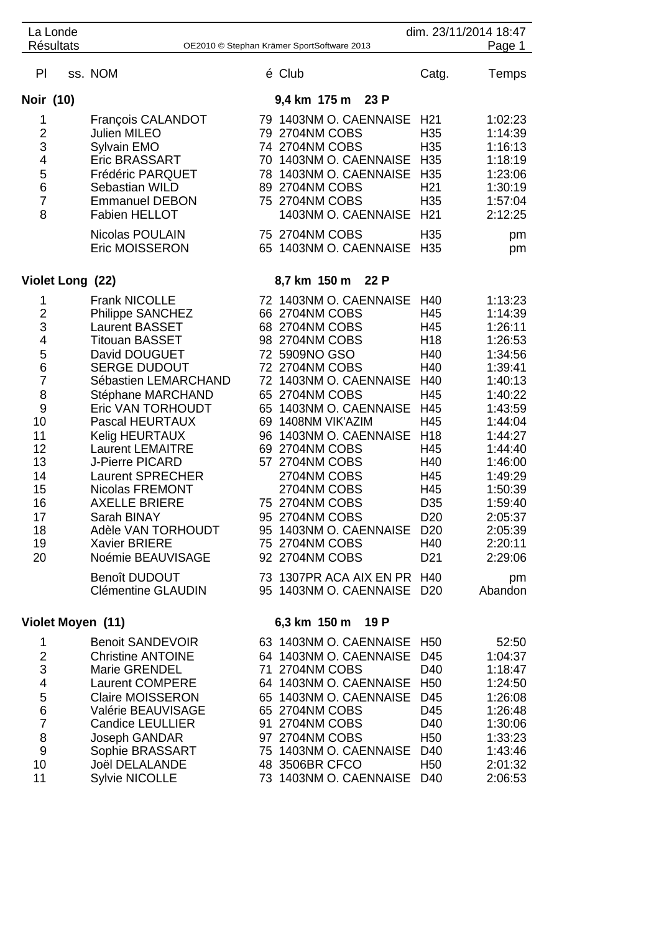| La Londe                                                                                                                              |  |                                                                                                                                                                                                                                                                                                                                                                                                                                                                                       |    |                                                                                                                                                                                                                                                                                                                                                                                                                                           |                                                                                                                                                                                   | dim. 23/11/2014 18:47<br>Page 1                                                                                                                                                                                                |  |
|---------------------------------------------------------------------------------------------------------------------------------------|--|---------------------------------------------------------------------------------------------------------------------------------------------------------------------------------------------------------------------------------------------------------------------------------------------------------------------------------------------------------------------------------------------------------------------------------------------------------------------------------------|----|-------------------------------------------------------------------------------------------------------------------------------------------------------------------------------------------------------------------------------------------------------------------------------------------------------------------------------------------------------------------------------------------------------------------------------------------|-----------------------------------------------------------------------------------------------------------------------------------------------------------------------------------|--------------------------------------------------------------------------------------------------------------------------------------------------------------------------------------------------------------------------------|--|
| <b>Résultats</b><br>OE2010 © Stephan Krämer SportSoftware 2013                                                                        |  |                                                                                                                                                                                                                                                                                                                                                                                                                                                                                       |    |                                                                                                                                                                                                                                                                                                                                                                                                                                           |                                                                                                                                                                                   |                                                                                                                                                                                                                                |  |
| PI                                                                                                                                    |  | ss. NOM                                                                                                                                                                                                                                                                                                                                                                                                                                                                               |    | é Club                                                                                                                                                                                                                                                                                                                                                                                                                                    | Catg.                                                                                                                                                                             | Temps                                                                                                                                                                                                                          |  |
| Noir (10)                                                                                                                             |  |                                                                                                                                                                                                                                                                                                                                                                                                                                                                                       |    | 9,4 km 175 m 23 P                                                                                                                                                                                                                                                                                                                                                                                                                         |                                                                                                                                                                                   |                                                                                                                                                                                                                                |  |
| 1<br>$\overline{c}$<br>3<br>4<br>5<br>6<br>$\overline{7}$<br>8                                                                        |  | François CALANDOT<br><b>Julien MILEO</b><br>Sylvain EMO<br><b>Eric BRASSART</b><br>Frédéric PARQUET<br>Sebastian WILD<br><b>Emmanuel DEBON</b><br><b>Fabien HELLOT</b><br>Nicolas POULAIN<br><b>Eric MOISSERON</b>                                                                                                                                                                                                                                                                    |    | 79 1403NM O. CAENNAISE<br>79 2704NM COBS<br>74 2704NM COBS<br>70 1403NM O. CAENNAISE H35<br>78 1403NM O. CAENNAISE<br>89 2704NM COBS<br>75 2704NM COBS<br>1403NM O. CAENNAISE<br>75 2704NM COBS<br>65 1403NM O. CAENNAISE                                                                                                                                                                                                                 | H <sub>21</sub><br>H <sub>35</sub><br>H35<br>H <sub>35</sub><br>H <sub>21</sub><br>H35<br>H <sub>21</sub><br>H35<br>H <sub>35</sub>                                               | 1:02:23<br>1:14:39<br>1:16:13<br>1:18:19<br>1:23:06<br>1:30:19<br>1:57:04<br>2:12:25<br>pm<br>pm                                                                                                                               |  |
| 8,7 km 150 m 22 P<br>Violet Long (22)                                                                                                 |  |                                                                                                                                                                                                                                                                                                                                                                                                                                                                                       |    |                                                                                                                                                                                                                                                                                                                                                                                                                                           |                                                                                                                                                                                   |                                                                                                                                                                                                                                |  |
| 1<br>$\overline{2}$<br>3<br>4<br>5<br>6<br>$\overline{7}$<br>8<br>9<br>10<br>11<br>12<br>13<br>14<br>15<br>16<br>17<br>18<br>19<br>20 |  | <b>Frank NICOLLE</b><br><b>Philippe SANCHEZ</b><br><b>Laurent BASSET</b><br><b>Titouan BASSET</b><br>David DOUGUET<br><b>SERGE DUDOUT</b><br>Sébastien LEMARCHAND<br>Stéphane MARCHAND<br>Eric VAN TORHOUDT<br>Pascal HEURTAUX<br>Kelig HEURTAUX<br><b>Laurent LEMAITRE</b><br><b>J-Pierre PICARD</b><br><b>Laurent SPRECHER</b><br>Nicolas FREMONT<br><b>AXELLE BRIERE</b><br>Sarah BINAY<br>Adèle VAN TORHOUDT<br><b>Xavier BRIERE</b><br>Noémie BEAUVISAGE<br><b>Benoît DUDOUT</b> | 96 | 72 1403NM O. CAENNAISE<br>66 2704NM COBS<br>68 2704NM COBS<br>98 2704NM COBS<br>72 5909NO GSO<br>72 2704NM COBS<br>72 1403NM O. CAENNAISE<br>65 2704NM COBS<br>65 1403NM O. CAENNAISE<br>69 1408NM VIK'AZIM<br>1403NM O. CAENNAISE<br>69 2704NM COBS<br>57 2704NM COBS<br>2704NM COBS<br>2704NM COBS<br>75 2704NM COBS<br>95 2704NM COBS<br>95 1403NM O. CAENNAISE D20<br>75 2704NM COBS<br>92 2704NM COBS<br>73 1307PR ACA AIX EN PR H40 | H40<br>H45<br>H45<br>H <sub>18</sub><br>H40<br>H40<br>H40<br>H45<br>H45<br>H45<br>H <sub>18</sub><br>H45<br>H40<br>H45<br>H45<br>D <sub>35</sub><br>D20<br>H40<br>D <sub>21</sub> | 1:13:23<br>1:14:39<br>1:26:11<br>1:26:53<br>1:34:56<br>1:39:41<br>1:40:13<br>1:40:22<br>1:43:59<br>1:44:04<br>1:44:27<br>1:44:40<br>1:46:00<br>1:49:29<br>1:50:39<br>1:59:40<br>2:05:37<br>2:05:39<br>2:20:11<br>2:29:06<br>pm |  |
|                                                                                                                                       |  | <b>Clémentine GLAUDIN</b>                                                                                                                                                                                                                                                                                                                                                                                                                                                             |    | 95 1403NM O. CAENNAISE D20                                                                                                                                                                                                                                                                                                                                                                                                                |                                                                                                                                                                                   | Abandon                                                                                                                                                                                                                        |  |
| Violet Moyen (11)                                                                                                                     |  |                                                                                                                                                                                                                                                                                                                                                                                                                                                                                       |    | 6,3 km 150 m 19 P                                                                                                                                                                                                                                                                                                                                                                                                                         |                                                                                                                                                                                   |                                                                                                                                                                                                                                |  |
| 1<br>2<br>3<br>4<br>5<br>6<br>$\overline{7}$<br>8<br>9<br>10<br>11                                                                    |  | <b>Benoit SANDEVOIR</b><br><b>Christine ANTOINE</b><br><b>Marie GRENDEL</b><br><b>Laurent COMPERE</b><br><b>Claire MOISSERON</b><br>Valérie BEAUVISAGE<br><b>Candice LEULLIER</b><br>Joseph GANDAR<br>Sophie BRASSART<br>Joël DELALANDE<br><b>Sylvie NICOLLE</b>                                                                                                                                                                                                                      |    | 63 1403NM O. CAENNAISE H50<br>64 1403NM O. CAENNAISE<br>71 2704NM COBS<br>64 1403NM O. CAENNAISE H50<br>65 1403NM O. CAENNAISE D45<br>65 2704NM COBS<br>91 2704NM COBS<br>97 2704NM COBS<br>75 1403NM O. CAENNAISE D40<br>48 3506BR CFCO<br>73 1403NM O. CAENNAISE D40                                                                                                                                                                    | D45<br>D40<br>D45<br>D40<br>H <sub>50</sub><br>H <sub>50</sub>                                                                                                                    | 52:50<br>1:04:37<br>1:18:47<br>1:24:50<br>1:26:08<br>1:26:48<br>1:30:06<br>1:33:23<br>1:43:46<br>2:01:32<br>2:06:53                                                                                                            |  |